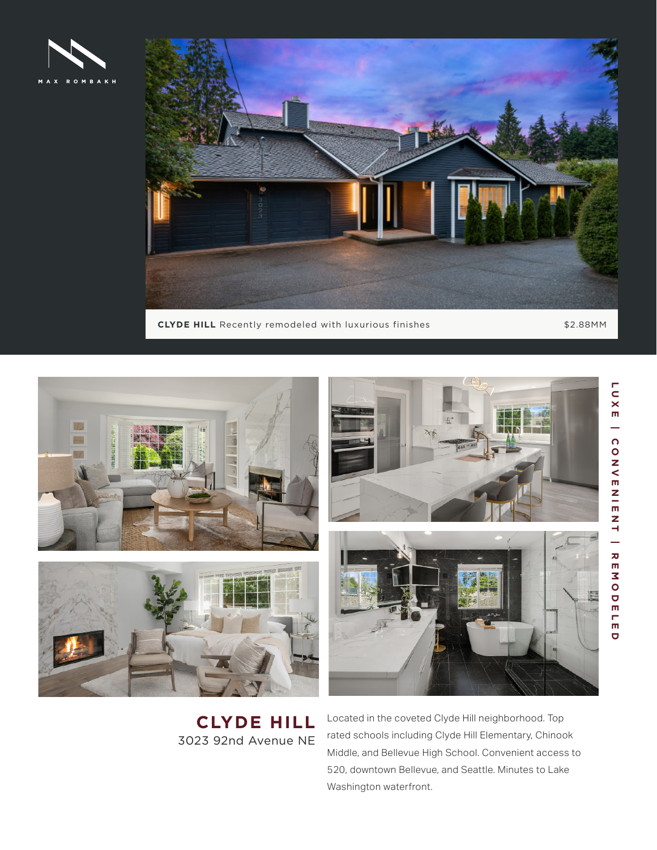



**CLYDE HILL** Recently remodeled with luxurious finishes \$2.88MM



**CLYDE HILL** 3023 92nd Avenue NE Located in the coveted Clyde Hill neighborhood. Top rated schools including Clyde Hill Elementary, Chinook Middle, and Bellevue High School. Convenient access to 520, downtown Bellevue, and Seattle. Minutes to Lake Washington waterfront.